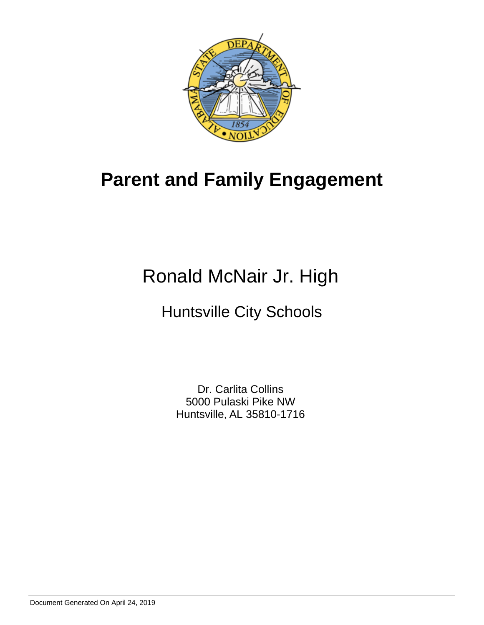

## **Parent and Family Engagement**

# Ronald McNair Jr. High

## Huntsville City Schools

Dr. Carlita Collins 5000 Pulaski Pike NW Huntsville, AL 35810-1716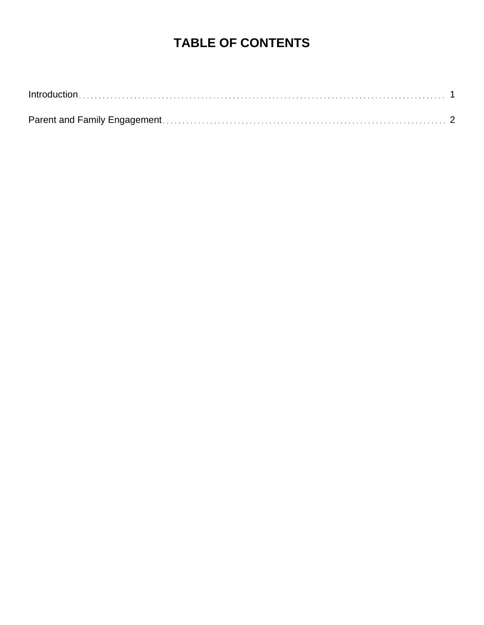### **TABLE OF CONTENTS**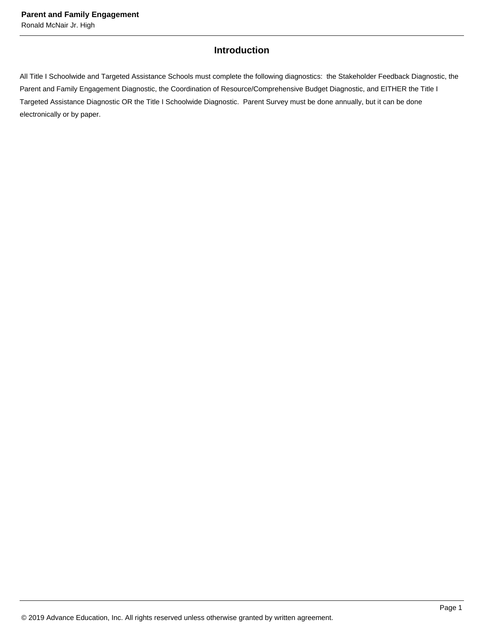### **Introduction**

<span id="page-2-0"></span>All Title I Schoolwide and Targeted Assistance Schools must complete the following diagnostics: the Stakeholder Feedback Diagnostic, the Parent and Family Engagement Diagnostic, the Coordination of Resource/Comprehensive Budget Diagnostic, and EITHER the Title I Targeted Assistance Diagnostic OR the Title I Schoolwide Diagnostic. Parent Survey must be done annually, but it can be done electronically or by paper.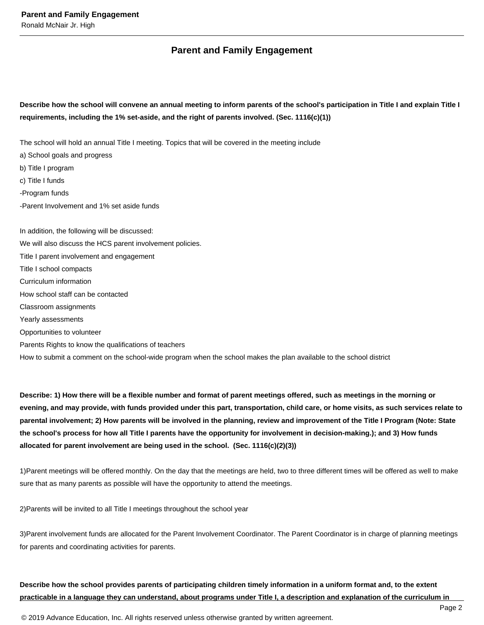#### **Parent and Family Engagement**

**Describe how the school will convene an annual meeting to inform parents of the school's participation in Title I and explain Title I requirements, including the 1% set-aside, and the right of parents involved. (Sec. 1116(c)(1))** 

The school will hold an annual Title I meeting. Topics that will be covered in the meeting include

a) School goals and progress b) Title I program c) Title I funds -Program funds -Parent Involvement and 1% set aside funds In addition, the following will be discussed: We will also discuss the HCS parent involvement policies. Title I parent involvement and engagement Title I school compacts Curriculum information How school staff can be contacted Classroom assignments

Yearly assessments

Opportunities to volunteer

Parents Rights to know the qualifications of teachers

How to submit a comment on the school-wide program when the school makes the plan available to the school district

**Describe: 1) How there will be a flexible number and format of parent meetings offered, such as meetings in the morning or evening, and may provide, with funds provided under this part, transportation, child care, or home visits, as such services relate to parental involvement; 2) How parents will be involved in the planning, review and improvement of the Title I Program (Note: State the school's process for how all Title I parents have the opportunity for involvement in decision-making.); and 3) How funds allocated for parent involvement are being used in the school. (Sec. 1116(c)(2)(3))** 

1)Parent meetings will be offered monthly. On the day that the meetings are held, two to three different times will be offered as well to make sure that as many parents as possible will have the opportunity to attend the meetings.

2)Parents will be invited to all Title I meetings throughout the school year

3)Parent involvement funds are allocated for the Parent Involvement Coordinator. The Parent Coordinator is in charge of planning meetings for parents and coordinating activities for parents.

**Describe how the school provides parents of participating children timely information in a uniform format and, to the extent practicable in a language they can understand, about programs under Title I, a description and explanation of the curriculum in** 

© 2019 Advance Education, Inc. All rights reserved unless otherwise granted by written agreement.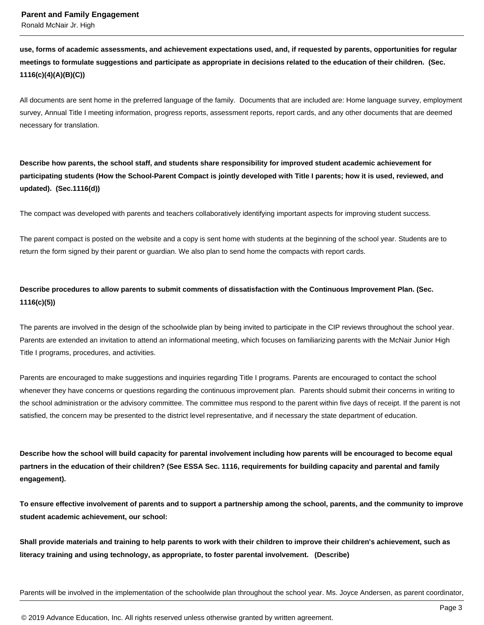**use, forms of academic assessments, and achievement expectations used, and, if requested by parents, opportunities for regular meetings to formulate suggestions and participate as appropriate in decisions related to the education of their children. (Sec. 1116(c)(4)(A)(B)(C))** 

All documents are sent home in the preferred language of the family. Documents that are included are: Home language survey, employment survey, Annual Title I meeting information, progress reports, assessment reports, report cards, and any other documents that are deemed necessary for translation.

**Describe how parents, the school staff, and students share responsibility for improved student academic achievement for participating students (How the School-Parent Compact is jointly developed with Title I parents; how it is used, reviewed, and updated). (Sec.1116(d))** 

The compact was developed with parents and teachers collaboratively identifying important aspects for improving student success.

The parent compact is posted on the website and a copy is sent home with students at the beginning of the school year. Students are to return the form signed by their parent or guardian. We also plan to send home the compacts with report cards.

### **Describe procedures to allow parents to submit comments of dissatisfaction with the Continuous Improvement Plan. (Sec. 1116(c)(5))**

The parents are involved in the design of the schoolwide plan by being invited to participate in the CIP reviews throughout the school year. Parents are extended an invitation to attend an informational meeting, which focuses on familiarizing parents with the McNair Junior High Title I programs, procedures, and activities.

Parents are encouraged to make suggestions and inquiries regarding Title I programs. Parents are encouraged to contact the school whenever they have concerns or questions regarding the continuous improvement plan. Parents should submit their concerns in writing to the school administration or the advisory committee. The committee mus respond to the parent within five days of receipt. If the parent is not satisfied, the concern may be presented to the district level representative, and if necessary the state department of education.

**Describe how the school will build capacity for parental involvement including how parents will be encouraged to become equal partners in the education of their children? (See ESSA Sec. 1116, requirements for building capacity and parental and family engagement).** 

**To ensure effective involvement of parents and to support a partnership among the school, parents, and the community to improve student academic achievement, our school:** 

**Shall provide materials and training to help parents to work with their children to improve their children's achievement, such as literacy training and using technology, as appropriate, to foster parental involvement. (Describe)** 

Parents will be involved in the implementation of the schoolwide plan throughout the school year. Ms. Joyce Andersen, as parent coordinator,

© 2019 Advance Education, Inc. All rights reserved unless otherwise granted by written agreement.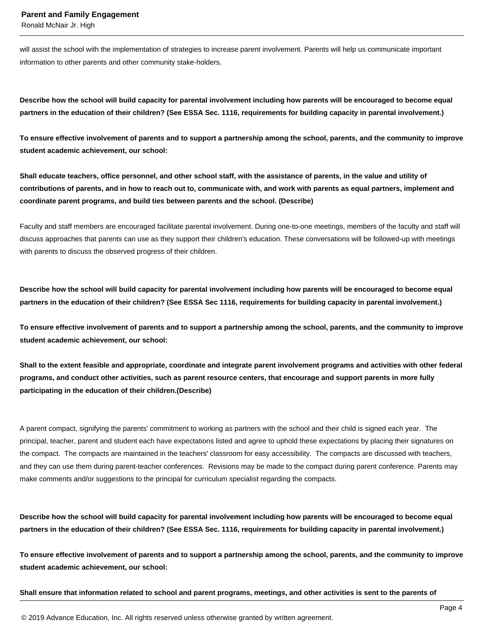Ronald McNair Jr. High

will assist the school with the implementation of strategies to increase parent involvement. Parents will help us communicate important information to other parents and other community stake-holders.

**Describe how the school will build capacity for parental involvement including how parents will be encouraged to become equal partners in the education of their children? (See ESSA Sec. 1116, requirements for building capacity in parental involvement.)** 

**To ensure effective involvement of parents and to support a partnership among the school, parents, and the community to improve student academic achievement, our school:** 

**Shall educate teachers, office personnel, and other school staff, with the assistance of parents, in the value and utility of contributions of parents, and in how to reach out to, communicate with, and work with parents as equal partners, implement and coordinate parent programs, and build ties between parents and the school. (Describe)** 

Faculty and staff members are encouraged facilitate parental involvement. During one-to-one meetings, members of the faculty and staff will discuss approaches that parents can use as they support their children's education. These conversations will be followed-up with meetings with parents to discuss the observed progress of their children.

**Describe how the school will build capacity for parental involvement including how parents will be encouraged to become equal partners in the education of their children? (See ESSA Sec 1116, requirements for building capacity in parental involvement.)** 

**To ensure effective involvement of parents and to support a partnership among the school, parents, and the community to improve student academic achievement, our school:** 

**Shall to the extent feasible and appropriate, coordinate and integrate parent involvement programs and activities with other federal programs, and conduct other activities, such as parent resource centers, that encourage and support parents in more fully participating in the education of their children.(Describe)** 

A parent compact, signifying the parents' commitment to working as partners with the school and their child is signed each year. The principal, teacher, parent and student each have expectations listed and agree to uphold these expectations by placing their signatures on the compact. The compacts are maintained in the teachers' classroom for easy accessibility. The compacts are discussed with teachers, and they can use them during parent-teacher conferences. Revisions may be made to the compact during parent conference. Parents may make comments and/or suggestions to the principal for curriculum specialist regarding the compacts.

**Describe how the school will build capacity for parental involvement including how parents will be encouraged to become equal partners in the education of their children? (See ESSA Sec. 1116, requirements for building capacity in parental involvement.)** 

**To ensure effective involvement of parents and to support a partnership among the school, parents, and the community to improve student academic achievement, our school:** 

**Shall ensure that information related to school and parent programs, meetings, and other activities is sent to the parents of**